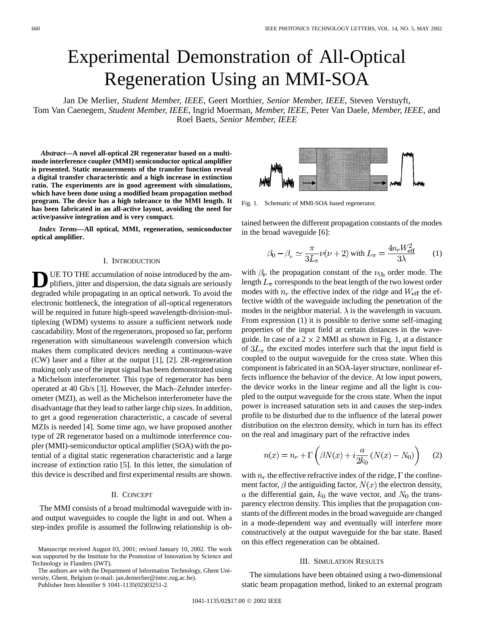# Experimental Demonstration of All-Optical Regeneration Using an MMI-SOA

Jan De Merlier*, Student Member, IEEE*, Geert Morthier*, Senior Member, IEEE*, Steven Verstuyft, Tom Van Caenegem*, Student Member, IEEE*, Ingrid Moerman*, Member, IEEE*, Peter Van Daele*, Member, IEEE*, and Roel Baets*, Senior Member, IEEE*

*Abstract—***A novel all-optical 2R regenerator based on a multimode interference coupler (MMI) semiconductor optical amplifier is presented. Static measurements of the transfer function reveal a digital transfer characteristic and a high increase in extinction ratio. The experiments are in good agreement with simulations, which have been done using a modified beam propagation method program. The device has a high tolerance to the MMI length. It has been fabricated in an all-active layout, avoiding the need for active/passive integration and is very compact.**

*Index Terms—***All optical, MMI, regeneration, semiconductor optical amplifier.**

#### I. INTRODUCTION

UE TO THE accumulation of noise introduced by the amplifiers, jitter and dispersion, the data signals are seriously degraded while propagating in an optical network. To avoid the electronic bottleneck, the integration of all-optical regenerators will be required in future high-speed wavelength-division-multiplexing (WDM) systems to assure a sufficient network node cascadability. Most of the regenerators, proposed so far, perform regeneration with simultaneous wavelength conversion which makes them complicated devices needing a continuous-wave (CW) laser and a filter at the output [1], [2]. 2R-regeneration making only use of the input signal has been demonstrated using a Michelson interferometer. This type of regenerator has been operated at 40 Gb/s [3]. However, the Mach–Zehnder interferometer (MZI), as well as the Michelson interferometer have the disadvantage that they lead to rather large chip sizes. In addition, to get a good regeneration characteristic, a cascade of several MZIs is needed [4]. Some time ago, we have proposed another type of 2R regenerator based on a multimode interference coupler (MMI)-semiconductor optical amplifier (SOA) with the potential of a digital static regeneration characteristic and a large increase of extinction ratio [5]. In this letter, the simulation of this device is described and first experimental results are shown.

## II. CONCEPT

The MMI consists of a broad multimodal waveguide with inand output waveguides to couple the light in and out. When a step-index profile is assumed the following relationship is ob-



The authors are with the Department of Information Technology, Ghent University, Ghent, Belgium (e-mail: jan.demerlier@intec.rug.ac.be).

Publisher Item Identifier S 1041-1135(02)03251-2.



Fig. 1. Schematic of MMI-SOA based regenerator.

tained between the different propagation constants of the modes in the broad waveguide [6]:

$$
\beta_0 - \beta_\nu \simeq \frac{\pi}{3L_\pi} \nu(\nu + 2) \text{ with } L_\pi = \frac{4n_r W_{\text{eff}}^2}{3\lambda} \qquad (1)
$$

with  $\beta_{\nu}$  the propagation constant of the  $\nu_{\text{th}}$  order mode. The length  $L_{\pi}$  corresponds to the beat length of the two lowest order modes with  $n_r$  the effective index of the ridge and  $W_{\text{eff}}$  the effective width of the waveguide including the penetration of the modes in the neighbor material.  $\lambda$  is the wavelength in vacuum. From expression (1) it is possible to derive some self-imaging properties of the input field at certain distances in the waveguide. In case of a  $2 \times 2$  MMI as shown in Fig. 1, at a distance of  $3L_{\pi}$  the excited modes interfere such that the input field is coupled to the output waveguide for the cross state. When this component is fabricated in an SOA-layer structure, nonlinear effects influence the behavior of the device. At low input powers, the device works in the linear regime and all the light is coupled to the output waveguide for the cross state. When the input power is increased saturation sets in and causes the step-index profile to be disturbed due to the influence of the lateral power distribution on the electron density, which in turn has its effect on the real and imaginary part of the refractive index

$$
n(x) = n_r + \Gamma\left(\beta N(x) + i\frac{a}{2k_0}(N(x) - N_0)\right) \tag{2}
$$

with  $n_r$  the effective refractive index of the ridge,  $\Gamma$  the confinement factor,  $\beta$  the antiguiding factor,  $N(x)$  the electron density, a the differential gain,  $k_0$  the wave vector, and  $N_0$  the transparency electron density. This implies that the propagation constants of the different modes in the broad waveguide are changed in a mode-dependent way and eventually will interfere more constructively at the output waveguide for the bar state. Based on this effect regeneration can be obtained.

### III. SIMULATION RESULTS

The simulations have been obtained using a two-dimensional static beam propagation method, linked to an external program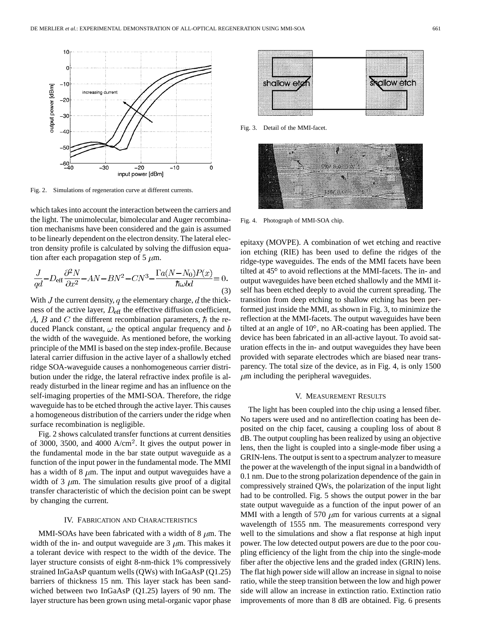

Fig. 2. Simulations of regeneration curve at different currents.

which takes into account the interaction between the carriers and the light. The unimolecular, bimolecular and Auger recombination mechanisms have been considered and the gain is assumed to be linearly dependent on the electron density. The lateral electron density profile is calculated by solving the diffusion equation after each propagation step of 5  $\mu$ m.

$$
\frac{J}{qd} - D_{\text{eff}} \frac{\partial^2 N}{\partial x^2} - AN - BN^2 - CN^3 - \frac{\Gamma a (N - N_0) P(x)}{\hbar \omega bd} = 0. \tag{3}
$$

With  $J$  the current density,  $q$  the elementary charge,  $d$  the thickness of the active layer,  $D_{\text{eff}}$  the effective diffusion coefficient, A, B and C the different recombination parameters,  $\hbar$  the reduced Planck constant,  $\omega$  the optical angular frequency and  $b$ the width of the waveguide. As mentioned before, the working principle of the MMI is based on the step index-profile. Because lateral carrier diffusion in the active layer of a shallowly etched ridge SOA-waveguide causes a nonhomogeneous carrier distribution under the ridge, the lateral refractive index profile is already disturbed in the linear regime and has an influence on the self-imaging properties of the MMI-SOA. Therefore, the ridge waveguide has to be etched through the active layer. This causes a homogeneous distribution of the carriers under the ridge when surface recombination is negligible.

Fig. 2 shows calculated transfer functions at current densities of 3000, 3500, and 4000  $A/cm<sup>2</sup>$ . It gives the output power in the fundamental mode in the bar state output waveguide as a function of the input power in the fundamental mode. The MMI has a width of 8  $\mu$ m. The input and output waveguides have a width of 3  $\mu$ m. The simulation results give proof of a digital transfer characteristic of which the decision point can be swept by changing the current.

#### IV. FABRICATION AND CHARACTERISTICS

MMI-SOAs have been fabricated with a width of 8  $\mu$ m. The width of the in- and output waveguide are  $3 \mu$ m. This makes it a tolerant device with respect to the width of the device. The layer structure consists of eight 8-nm-thick 1% compressively strained InGaAsP quantum wells (QWs) with InGaAsP (Q1.25) barriers of thickness 15 nm. This layer stack has been sandwiched between two InGaAsP (Q1.25) layers of 90 nm. The layer structure has been grown using metal-organic vapor phase



Fig. 3. Detail of the MMI-facet.



Fig. 4. Photograph of MMI-SOA chip.

epitaxy (MOVPE). A combination of wet etching and reactive ion etching (RIE) has been used to define the ridges of the ridge-type waveguides. The ends of the MMI facets have been tilted at 45° to avoid reflections at the MMI-facets. The in- and output waveguides have been etched shallowly and the MMI itself has been etched deeply to avoid the current spreading. The transition from deep etching to shallow etching has been performed just inside the MMI, as shown in Fig. 3, to minimize the reflection at the MMI-facets. The output waveguides have been tilted at an angle of  $10^{\circ}$ , no AR-coating has been applied. The device has been fabricated in an all-active layout. To avoid saturation effects in the in- and output waveguides they have been provided with separate electrodes which are biased near transparency. The total size of the device, as in Fig. 4, is only 1500  $\mu$ m including the peripheral waveguides.

## V. MEASUREMENT RESULTS

The light has been coupled into the chip using a lensed fiber. No tapers were used and no antireflection coating has been deposited on the chip facet, causing a coupling loss of about 8 dB. The output coupling has been realized by using an objective lens, then the light is coupled into a single-mode fiber using a GRIN-lens. The output is sent to a spectrum analyzer to measure the power at the wavelength of the input signal in a bandwidth of 0.1 nm. Due to the strong polarization dependence of the gain in compressively strained QWs, the polarization of the input light had to be controlled. Fig. 5 shows the output power in the bar state output waveguide as a function of the input power of an MMI with a length of 570  $\mu$ m for various currents at a signal wavelength of 1555 nm. The measurements correspond very well to the simulations and show a flat response at high input power. The low detected output powers are due to the poor coupling efficiency of the light from the chip into the single-mode fiber after the objective lens and the graded index (GRIN) lens. The flat high power side will allow an increase in signal to noise ratio, while the steep transition between the low and high power side will allow an increase in extinction ratio. Extinction ratio improvements of more than 8 dB are obtained. Fig. 6 presents